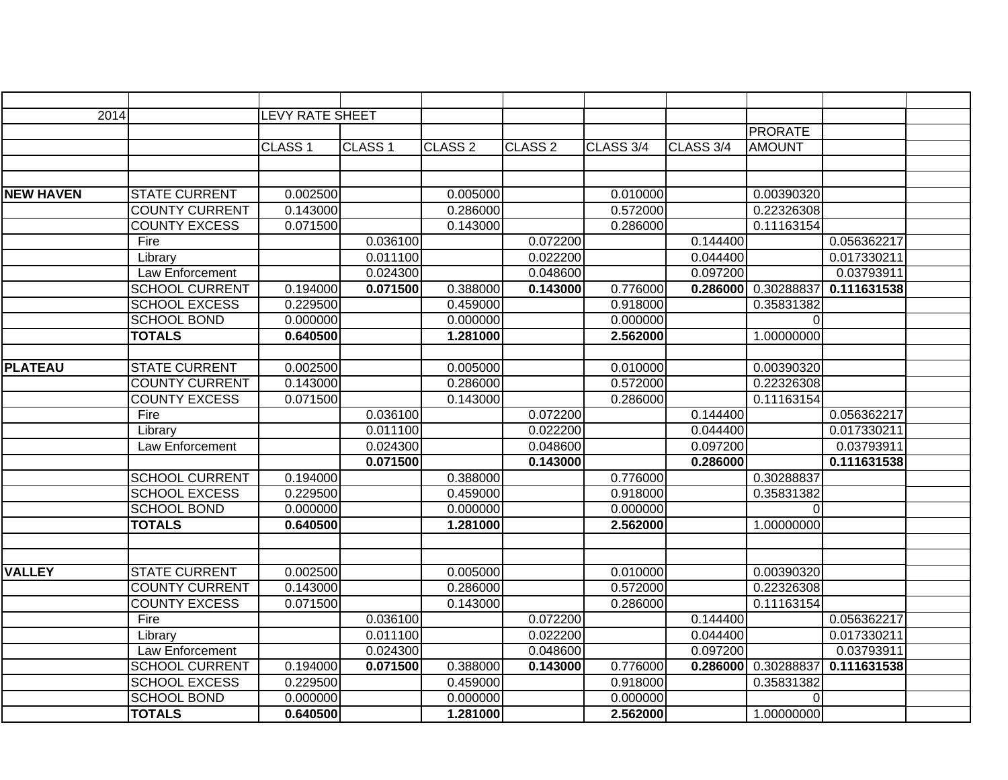| 2014             |                       | <b>LEVY RATE SHEET</b> |                    |                    |                    |           |           |                |             |  |
|------------------|-----------------------|------------------------|--------------------|--------------------|--------------------|-----------|-----------|----------------|-------------|--|
|                  |                       |                        |                    |                    |                    |           |           | <b>PRORATE</b> |             |  |
|                  |                       | CLASS <sub>1</sub>     | CLASS <sub>1</sub> | CLASS <sub>2</sub> | CLASS <sub>2</sub> | CLASS 3/4 | CLASS 3/4 | <b>AMOUNT</b>  |             |  |
|                  |                       |                        |                    |                    |                    |           |           |                |             |  |
|                  |                       |                        |                    |                    |                    |           |           |                |             |  |
| <b>NEW HAVEN</b> | <b>STATE CURRENT</b>  | 0.002500               |                    | 0.005000           |                    | 0.010000  |           | 0.00390320     |             |  |
|                  | <b>COUNTY CURRENT</b> | 0.143000               |                    | 0.286000           |                    | 0.572000  |           | 0.22326308     |             |  |
|                  | <b>COUNTY EXCESS</b>  | 0.071500               |                    | 0.143000           |                    | 0.286000  |           | 0.11163154     |             |  |
|                  | Fire                  |                        | 0.036100           |                    | 0.072200           |           | 0.144400  |                | 0.056362217 |  |
|                  | Library               |                        | 0.011100           |                    | 0.022200           |           | 0.044400  |                | 0.017330211 |  |
|                  | Law Enforcement       |                        | 0.024300           |                    | 0.048600           |           | 0.097200  |                | 0.03793911  |  |
|                  | <b>SCHOOL CURRENT</b> | 0.194000               | 0.071500           | 0.388000           | 0.143000           | 0.776000  | 0.286000  | 0.30288837     | 0.111631538 |  |
|                  | <b>SCHOOL EXCESS</b>  | 0.229500               |                    | 0.459000           |                    | 0.918000  |           | 0.35831382     |             |  |
|                  | <b>SCHOOL BOND</b>    | 0.000000               |                    | 0.000000           |                    | 0.000000  |           | 0              |             |  |
|                  | <b>TOTALS</b>         | 0.640500               |                    | 1.281000           |                    | 2.562000  |           | 1.00000000     |             |  |
|                  |                       |                        |                    |                    |                    |           |           |                |             |  |
| <b>PLATEAU</b>   | <b>STATE CURRENT</b>  | 0.002500               |                    | 0.005000           |                    | 0.010000  |           | 0.00390320     |             |  |
|                  | <b>COUNTY CURRENT</b> | 0.143000               |                    | 0.286000           |                    | 0.572000  |           | 0.22326308     |             |  |
|                  | <b>COUNTY EXCESS</b>  | 0.071500               |                    | 0.143000           |                    | 0.286000  |           | 0.11163154     |             |  |
|                  | Fire                  |                        | 0.036100           |                    | 0.072200           |           | 0.144400  |                | 0.056362217 |  |
|                  | Library               |                        | 0.011100           |                    | 0.022200           |           | 0.044400  |                | 0.017330211 |  |
|                  | Law Enforcement       |                        | 0.024300           |                    | 0.048600           |           | 0.097200  |                | 0.03793911  |  |
|                  |                       |                        | 0.071500           |                    | 0.143000           |           | 0.286000  |                | 0.111631538 |  |
|                  | <b>SCHOOL CURRENT</b> | 0.194000               |                    | 0.388000           |                    | 0.776000  |           | 0.30288837     |             |  |
|                  | <b>SCHOOL EXCESS</b>  | 0.229500               |                    | 0.459000           |                    | 0.918000  |           | 0.35831382     |             |  |
|                  | <b>SCHOOL BOND</b>    | 0.000000               |                    | 0.000000           |                    | 0.000000  |           | $\Omega$       |             |  |
|                  | <b>TOTALS</b>         | 0.640500               |                    | 1.281000           |                    | 2.562000  |           | 1.00000000     |             |  |
|                  |                       |                        |                    |                    |                    |           |           |                |             |  |
|                  |                       |                        |                    |                    |                    |           |           |                |             |  |
| <b>VALLEY</b>    | <b>STATE CURRENT</b>  | 0.002500               |                    | 0.005000           |                    | 0.010000  |           | 0.00390320     |             |  |
|                  | <b>COUNTY CURRENT</b> | 0.143000               |                    | 0.286000           |                    | 0.572000  |           | 0.22326308     |             |  |
|                  | <b>COUNTY EXCESS</b>  | 0.071500               |                    | 0.143000           |                    | 0.286000  |           | 0.11163154     |             |  |
|                  | Fire                  |                        | 0.036100           |                    | 0.072200           |           | 0.144400  |                | 0.056362217 |  |
|                  | Library               |                        | 0.011100           |                    | 0.022200           |           | 0.044400  |                | 0.017330211 |  |
|                  | Law Enforcement       |                        | 0.024300           |                    | 0.048600           |           | 0.097200  |                | 0.03793911  |  |
|                  | <b>SCHOOL CURRENT</b> | 0.194000               | 0.071500           | 0.388000           | 0.143000           | 0.776000  | 0.286000  | 0.30288837     | 0.111631538 |  |
|                  | <b>SCHOOL EXCESS</b>  | 0.229500               |                    | 0.459000           |                    | 0.918000  |           | 0.35831382     |             |  |
|                  | <b>SCHOOL BOND</b>    | 0.000000               |                    | 0.000000           |                    | 0.000000  |           | $\Omega$       |             |  |
|                  | <b>TOTALS</b>         | 0.640500               |                    | 1.281000           |                    | 2.562000  |           | 1.00000000     |             |  |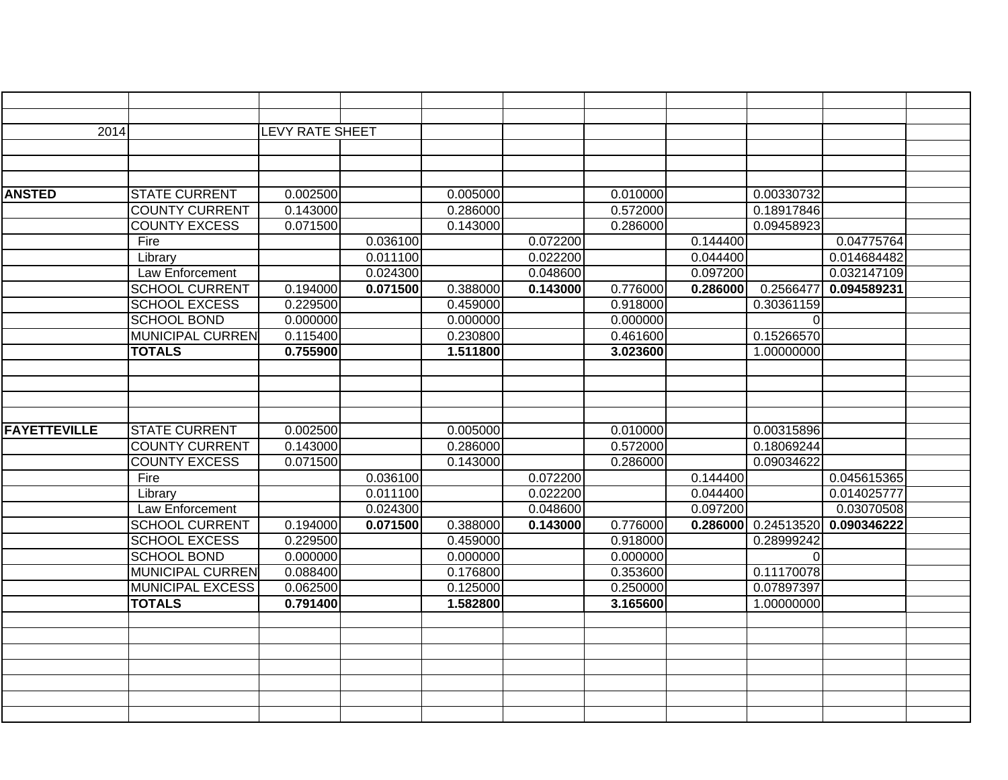| 2014                |                         | <b>LEVY RATE SHEET</b> |          |          |          |          |          |            |             |  |
|---------------------|-------------------------|------------------------|----------|----------|----------|----------|----------|------------|-------------|--|
|                     |                         |                        |          |          |          |          |          |            |             |  |
|                     |                         |                        |          |          |          |          |          |            |             |  |
|                     |                         |                        |          |          |          |          |          |            |             |  |
| <b>ANSTED</b>       | <b>STATE CURRENT</b>    | 0.002500               |          | 0.005000 |          | 0.010000 |          | 0.00330732 |             |  |
|                     | <b>COUNTY CURRENT</b>   | 0.143000               |          | 0.286000 |          | 0.572000 |          | 0.18917846 |             |  |
|                     | <b>COUNTY EXCESS</b>    | 0.071500               |          | 0.143000 |          | 0.286000 |          | 0.09458923 |             |  |
|                     | Fire                    |                        | 0.036100 |          | 0.072200 |          | 0.144400 |            | 0.04775764  |  |
|                     | Library                 |                        | 0.011100 |          | 0.022200 |          | 0.044400 |            | 0.014684482 |  |
|                     | Law Enforcement         |                        | 0.024300 |          | 0.048600 |          | 0.097200 |            | 0.032147109 |  |
|                     | <b>SCHOOL CURRENT</b>   | 0.194000               | 0.071500 | 0.388000 | 0.143000 | 0.776000 | 0.286000 | 0.2566477  | 0.094589231 |  |
|                     | <b>SCHOOL EXCESS</b>    | 0.229500               |          | 0.459000 |          | 0.918000 |          | 0.30361159 |             |  |
|                     | <b>SCHOOL BOND</b>      | 0.000000               |          | 0.000000 |          | 0.000000 |          | 0          |             |  |
|                     | <b>MUNICIPAL CURREN</b> | 0.115400               |          | 0.230800 |          | 0.461600 |          | 0.15266570 |             |  |
|                     | <b>TOTALS</b>           | 0.755900               |          | 1.511800 |          | 3.023600 |          | 1.00000000 |             |  |
|                     |                         |                        |          |          |          |          |          |            |             |  |
|                     |                         |                        |          |          |          |          |          |            |             |  |
|                     |                         |                        |          |          |          |          |          |            |             |  |
|                     |                         |                        |          |          |          |          |          |            |             |  |
| <b>FAYETTEVILLE</b> | <b>STATE CURRENT</b>    | 0.002500               |          | 0.005000 |          | 0.010000 |          | 0.00315896 |             |  |
|                     | <b>COUNTY CURRENT</b>   | 0.143000               |          | 0.286000 |          | 0.572000 |          | 0.18069244 |             |  |
|                     | <b>COUNTY EXCESS</b>    | 0.071500               |          | 0.143000 |          | 0.286000 |          | 0.09034622 |             |  |
|                     | Fire                    |                        | 0.036100 |          | 0.072200 |          | 0.144400 |            | 0.045615365 |  |
|                     | Library                 |                        | 0.011100 |          | 0.022200 |          | 0.044400 |            | 0.014025777 |  |
|                     | Law Enforcement         |                        | 0.024300 |          | 0.048600 |          | 0.097200 |            | 0.03070508  |  |
|                     | <b>SCHOOL CURRENT</b>   | 0.194000               | 0.071500 | 0.388000 | 0.143000 | 0.776000 | 0.286000 | 0.24513520 | 0.090346222 |  |
|                     | <b>SCHOOL EXCESS</b>    | 0.229500               |          | 0.459000 |          | 0.918000 |          | 0.28999242 |             |  |
|                     | <b>SCHOOL BOND</b>      | 0.000000               |          | 0.000000 |          | 0.000000 |          | $\Omega$   |             |  |
|                     | <b>MUNICIPAL CURREN</b> | 0.088400               |          | 0.176800 |          | 0.353600 |          | 0.11170078 |             |  |
|                     | <b>MUNICIPAL EXCESS</b> | 0.062500               |          | 0.125000 |          | 0.250000 |          | 0.07897397 |             |  |
|                     | <b>TOTALS</b>           | 0.791400               |          | 1.582800 |          | 3.165600 |          | 1.00000000 |             |  |
|                     |                         |                        |          |          |          |          |          |            |             |  |
|                     |                         |                        |          |          |          |          |          |            |             |  |
|                     |                         |                        |          |          |          |          |          |            |             |  |
|                     |                         |                        |          |          |          |          |          |            |             |  |
|                     |                         |                        |          |          |          |          |          |            |             |  |
|                     |                         |                        |          |          |          |          |          |            |             |  |
|                     |                         |                        |          |          |          |          |          |            |             |  |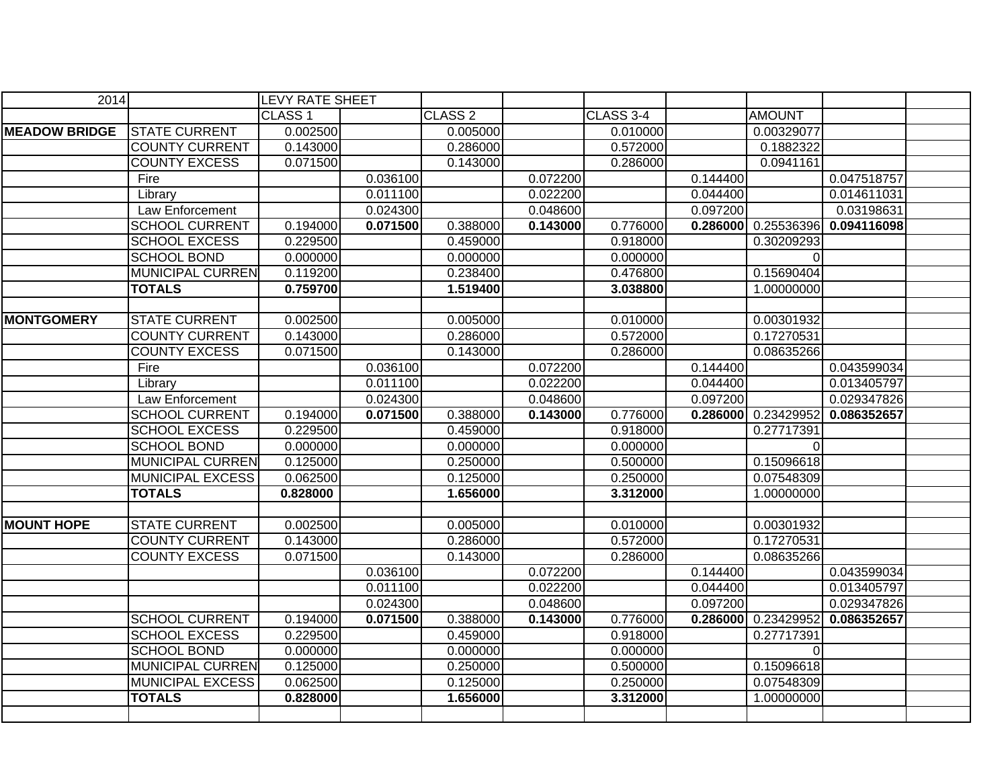| 2014                 |                         | <b>LEVY RATE SHEET</b> |          |                    |          |                  |          |               |             |  |
|----------------------|-------------------------|------------------------|----------|--------------------|----------|------------------|----------|---------------|-------------|--|
|                      |                         | CLASS <sub>1</sub>     |          | CLASS <sub>2</sub> |          | <b>CLASS 3-4</b> |          | <b>AMOUNT</b> |             |  |
| <b>MEADOW BRIDGE</b> | <b>STATE CURRENT</b>    | 0.002500               |          | 0.005000           |          | 0.010000         |          | 0.00329077    |             |  |
|                      | <b>COUNTY CURRENT</b>   | 0.143000               |          | 0.286000           |          | 0.572000         |          | 0.1882322     |             |  |
|                      | <b>COUNTY EXCESS</b>    | 0.071500               |          | 0.143000           |          | 0.286000         |          | 0.0941161     |             |  |
|                      | Fire                    |                        | 0.036100 |                    | 0.072200 |                  | 0.144400 |               | 0.047518757 |  |
|                      | Library                 |                        | 0.011100 |                    | 0.022200 |                  | 0.044400 |               | 0.014611031 |  |
|                      | Law Enforcement         |                        | 0.024300 |                    | 0.048600 |                  | 0.097200 |               | 0.03198631  |  |
|                      | <b>SCHOOL CURRENT</b>   | 0.194000               | 0.071500 | 0.388000           | 0.143000 | 0.776000         | 0.286000 | 0.25536396    | 0.094116098 |  |
|                      | <b>SCHOOL EXCESS</b>    | 0.229500               |          | 0.459000           |          | 0.918000         |          | 0.30209293    |             |  |
|                      | <b>SCHOOL BOND</b>      | 0.000000               |          | 0.000000           |          | 0.000000         |          | $\Omega$      |             |  |
|                      | <b>MUNICIPAL CURREN</b> | 0.119200               |          | 0.238400           |          | 0.476800         |          | 0.15690404    |             |  |
|                      | <b>TOTALS</b>           | 0.759700               |          | 1.519400           |          | 3.038800         |          | 1.00000000    |             |  |
|                      |                         |                        |          |                    |          |                  |          |               |             |  |
| <b>MONTGOMERY</b>    | <b>STATE CURRENT</b>    | 0.002500               |          | 0.005000           |          | 0.010000         |          | 0.00301932    |             |  |
|                      | <b>COUNTY CURRENT</b>   | 0.143000               |          | 0.286000           |          | 0.572000         |          | 0.17270531    |             |  |
|                      | <b>COUNTY EXCESS</b>    | 0.071500               |          | 0.143000           |          | 0.286000         |          | 0.08635266    |             |  |
|                      | Fire                    |                        | 0.036100 |                    | 0.072200 |                  | 0.144400 |               | 0.043599034 |  |
|                      | Library                 |                        | 0.011100 |                    | 0.022200 |                  | 0.044400 |               | 0.013405797 |  |
|                      | Law Enforcement         |                        | 0.024300 |                    | 0.048600 |                  | 0.097200 |               | 0.029347826 |  |
|                      | <b>SCHOOL CURRENT</b>   | 0.194000               | 0.071500 | 0.388000           | 0.143000 | 0.776000         | 0.286000 | 0.23429952    | 0.086352657 |  |
|                      | <b>SCHOOL EXCESS</b>    | 0.229500               |          | 0.459000           |          | 0.918000         |          | 0.27717391    |             |  |
|                      | <b>SCHOOL BOND</b>      | 0.000000               |          | 0.000000           |          | 0.000000         |          | $\Omega$      |             |  |
|                      | <b>MUNICIPAL CURREN</b> | 0.125000               |          | 0.250000           |          | 0.500000         |          | 0.15096618    |             |  |
|                      | <b>MUNICIPAL EXCESS</b> | 0.062500               |          | 0.125000           |          | 0.250000         |          | 0.07548309    |             |  |
|                      | <b>TOTALS</b>           | 0.828000               |          | 1.656000           |          | 3.312000         |          | 1.00000000    |             |  |
|                      |                         |                        |          |                    |          |                  |          |               |             |  |
| <b>MOUNT HOPE</b>    | <b>STATE CURRENT</b>    | 0.002500               |          | 0.005000           |          | 0.010000         |          | 0.00301932    |             |  |
|                      | <b>COUNTY CURRENT</b>   | 0.143000               |          | 0.286000           |          | 0.572000         |          | 0.17270531    |             |  |
|                      | <b>COUNTY EXCESS</b>    | 0.071500               |          | 0.143000           |          | 0.286000         |          | 0.08635266    |             |  |
|                      |                         |                        | 0.036100 |                    | 0.072200 |                  | 0.144400 |               | 0.043599034 |  |
|                      |                         |                        | 0.011100 |                    | 0.022200 |                  | 0.044400 |               | 0.013405797 |  |
|                      |                         |                        | 0.024300 |                    | 0.048600 |                  | 0.097200 |               | 0.029347826 |  |
|                      | <b>SCHOOL CURRENT</b>   | 0.194000               | 0.071500 | 0.388000           | 0.143000 | 0.776000         | 0.286000 | 0.23429952    | 0.086352657 |  |
|                      | <b>SCHOOL EXCESS</b>    | 0.229500               |          | 0.459000           |          | 0.918000         |          | 0.27717391    |             |  |
|                      | <b>SCHOOL BOND</b>      | 0.000000               |          | 0.000000           |          | 0.000000         |          | $\Omega$      |             |  |
|                      | <b>MUNICIPAL CURREN</b> | 0.125000               |          | 0.250000           |          | 0.500000         |          | 0.15096618    |             |  |
|                      | <b>MUNICIPAL EXCESS</b> | 0.062500               |          | 0.125000           |          | 0.250000         |          | 0.07548309    |             |  |
|                      | <b>TOTALS</b>           | 0.828000               |          | 1.656000           |          | 3.312000         |          | 1.00000000    |             |  |
|                      |                         |                        |          |                    |          |                  |          |               |             |  |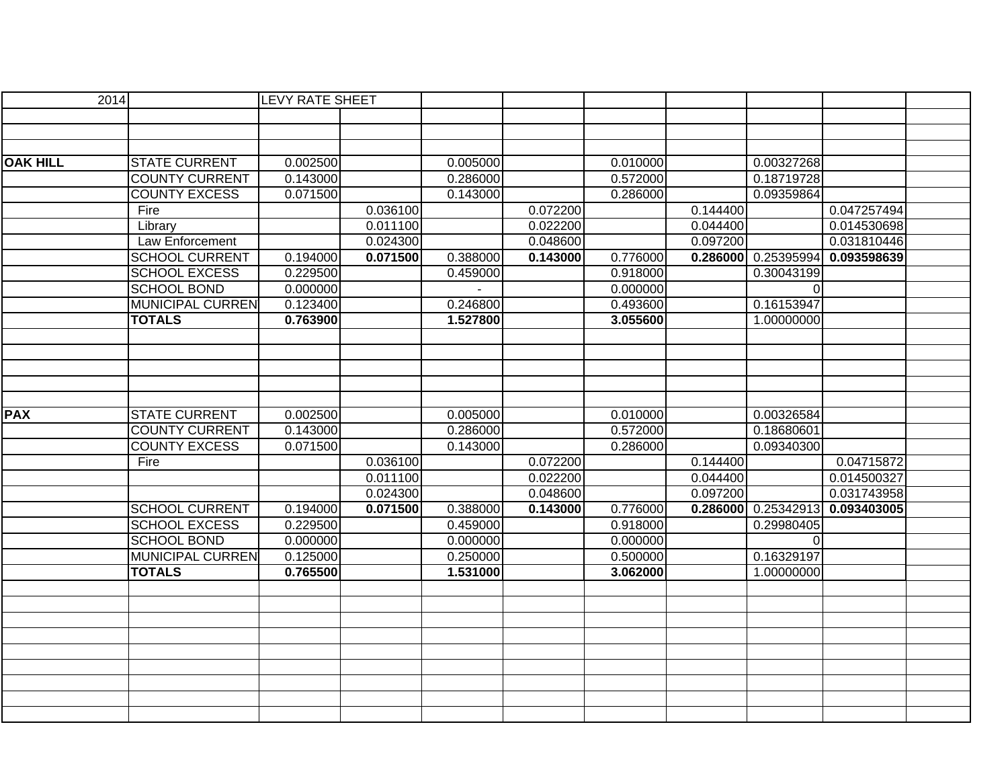| 2014            |                         | <b>LEVY RATE SHEET</b> |          |          |          |          |          |            |             |  |
|-----------------|-------------------------|------------------------|----------|----------|----------|----------|----------|------------|-------------|--|
|                 |                         |                        |          |          |          |          |          |            |             |  |
|                 |                         |                        |          |          |          |          |          |            |             |  |
|                 |                         |                        |          |          |          |          |          |            |             |  |
| <b>OAK HILL</b> | <b>STATE CURRENT</b>    | 0.002500               |          | 0.005000 |          | 0.010000 |          | 0.00327268 |             |  |
|                 | <b>COUNTY CURRENT</b>   | 0.143000               |          | 0.286000 |          | 0.572000 |          | 0.18719728 |             |  |
|                 | <b>COUNTY EXCESS</b>    | 0.071500               |          | 0.143000 |          | 0.286000 |          | 0.09359864 |             |  |
|                 | Fire                    |                        | 0.036100 |          | 0.072200 |          | 0.144400 |            | 0.047257494 |  |
|                 | Library                 |                        | 0.011100 |          | 0.022200 |          | 0.044400 |            | 0.014530698 |  |
|                 | Law Enforcement         |                        | 0.024300 |          | 0.048600 |          | 0.097200 |            | 0.031810446 |  |
|                 | <b>SCHOOL CURRENT</b>   | 0.194000               | 0.071500 | 0.388000 | 0.143000 | 0.776000 | 0.286000 | 0.25395994 | 0.093598639 |  |
|                 | <b>SCHOOL EXCESS</b>    | 0.229500               |          | 0.459000 |          | 0.918000 |          | 0.30043199 |             |  |
|                 | <b>SCHOOL BOND</b>      | 0.000000               |          |          |          | 0.000000 |          | 0          |             |  |
|                 | <b>MUNICIPAL CURREN</b> | 0.123400               |          | 0.246800 |          | 0.493600 |          | 0.16153947 |             |  |
|                 | <b>TOTALS</b>           | 0.763900               |          | 1.527800 |          | 3.055600 |          | 1.00000000 |             |  |
|                 |                         |                        |          |          |          |          |          |            |             |  |
|                 |                         |                        |          |          |          |          |          |            |             |  |
|                 |                         |                        |          |          |          |          |          |            |             |  |
|                 |                         |                        |          |          |          |          |          |            |             |  |
|                 |                         |                        |          |          |          |          |          |            |             |  |
| <b>PAX</b>      | <b>STATE CURRENT</b>    | 0.002500               |          | 0.005000 |          | 0.010000 |          | 0.00326584 |             |  |
|                 | <b>COUNTY CURRENT</b>   | 0.143000               |          | 0.286000 |          | 0.572000 |          | 0.18680601 |             |  |
|                 | <b>COUNTY EXCESS</b>    | 0.071500               |          | 0.143000 |          | 0.286000 |          | 0.09340300 |             |  |
|                 | Fire                    |                        | 0.036100 |          | 0.072200 |          | 0.144400 |            | 0.04715872  |  |
|                 |                         |                        | 0.011100 |          | 0.022200 |          | 0.044400 |            | 0.014500327 |  |
|                 |                         |                        | 0.024300 |          | 0.048600 |          | 0.097200 |            | 0.031743958 |  |
|                 | <b>SCHOOL CURRENT</b>   | 0.194000               | 0.071500 | 0.388000 | 0.143000 | 0.776000 | 0.286000 | 0.25342913 | 0.093403005 |  |
|                 | <b>SCHOOL EXCESS</b>    | 0.229500               |          | 0.459000 |          | 0.918000 |          | 0.29980405 |             |  |
|                 | <b>SCHOOL BOND</b>      | 0.000000               |          | 0.000000 |          | 0.000000 |          | $\Omega$   |             |  |
|                 | <b>MUNICIPAL CURREN</b> | 0.125000               |          | 0.250000 |          | 0.500000 |          | 0.16329197 |             |  |
|                 | <b>TOTALS</b>           | 0.765500               |          | 1.531000 |          | 3.062000 |          | 1.00000000 |             |  |
|                 |                         |                        |          |          |          |          |          |            |             |  |
|                 |                         |                        |          |          |          |          |          |            |             |  |
|                 |                         |                        |          |          |          |          |          |            |             |  |
|                 |                         |                        |          |          |          |          |          |            |             |  |
|                 |                         |                        |          |          |          |          |          |            |             |  |
|                 |                         |                        |          |          |          |          |          |            |             |  |
|                 |                         |                        |          |          |          |          |          |            |             |  |
|                 |                         |                        |          |          |          |          |          |            |             |  |
|                 |                         |                        |          |          |          |          |          |            |             |  |